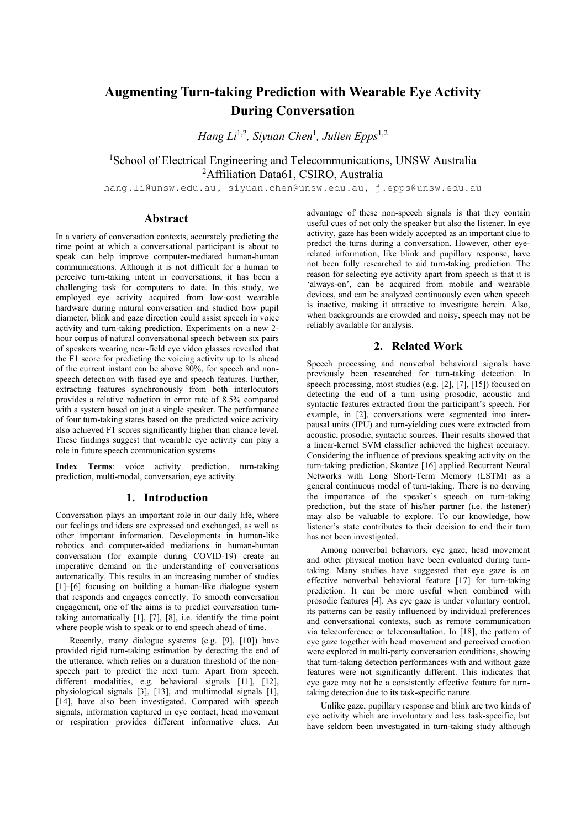# **Augmenting Turn-taking Prediction with Wearable Eye Activity During Conversation**

*Hang Li*1,2 *, Siyuan Chen*<sup>1</sup> *, Julien Epps*1,2

## <sup>1</sup>School of Electrical Engineering and Telecommunications, UNSW Australia <sup>2</sup>Affiliation Data61, CSIRO, Australia

hang.li@unsw.edu.au, siyuan.chen@unsw.edu.au, j.epps@unsw.edu.au

## **Abstract**

In a variety of conversation contexts, accurately predicting the time point at which a conversational participant is about to speak can help improve computer-mediated human-human communications. Although it is not difficult for a human to perceive turn-taking intent in conversations, it has been a challenging task for computers to date. In this study, we employed eye activity acquired from low-cost wearable hardware during natural conversation and studied how pupil diameter, blink and gaze direction could assist speech in voice activity and turn-taking prediction. Experiments on a new 2 hour corpus of natural conversational speech between six pairs of speakers wearing near-field eye video glasses revealed that the F1 score for predicting the voicing activity up to 1s ahead of the current instant can be above 80%, for speech and nonspeech detection with fused eye and speech features. Further, extracting features synchronously from both interlocutors provides a relative reduction in error rate of 8.5% compared with a system based on just a single speaker. The performance of four turn-taking states based on the predicted voice activity also achieved F1 scores significantly higher than chance level. These findings suggest that wearable eye activity can play a role in future speech communication systems.

**Index Terms**: voice activity prediction, turn-taking prediction, multi-modal, conversation, eye activity

## **1. Introduction**

Conversation plays an important role in our daily life, where our feelings and ideas are expressed and exchanged, as well as other important information. Developments in human-like robotics and computer-aided mediations in human-human conversation (for example during COVID-19) create an imperative demand on the understanding of conversations automatically. This results in an increasing number of studies [1]–[6] focusing on building a human-like dialogue system that responds and engages correctly. To smooth conversation engagement, one of the aims is to predict conversation turntaking automatically [1], [7], [8], i.e. identify the time point where people wish to speak or to end speech ahead of time.

Recently, many dialogue systems (e.g. [9], [10]) have provided rigid turn-taking estimation by detecting the end of the utterance, which relies on a duration threshold of the nonspeech part to predict the next turn. Apart from speech, different modalities, e.g. behavioral signals [11], [12], physiological signals [3], [13], and multimodal signals [1], [14], have also been investigated. Compared with speech signals, information captured in eye contact, head movement or respiration provides different informative clues. An advantage of these non-speech signals is that they contain useful cues of not only the speaker but also the listener. In eye activity, gaze has been widely accepted as an important clue to predict the turns during a conversation. However, other eyerelated information, like blink and pupillary response, have not been fully researched to aid turn-taking prediction. The reason for selecting eye activity apart from speech is that it is 'always-on', can be acquired from mobile and wearable devices, and can be analyzed continuously even when speech is inactive, making it attractive to investigate herein. Also, when backgrounds are crowded and noisy, speech may not be reliably available for analysis.

## **2. Related Work**

Speech processing and nonverbal behavioral signals have previously been researched for turn-taking detection. In speech processing, most studies (e.g. [2], [7], [15]) focused on detecting the end of a turn using prosodic, acoustic and syntactic features extracted from the participant's speech. For example, in [2], conversations were segmented into interpausal units (IPU) and turn-yielding cues were extracted from acoustic, prosodic, syntactic sources. Their results showed that a linear-kernel SVM classifier achieved the highest accuracy. Considering the influence of previous speaking activity on the turn-taking prediction, Skantze [16] applied Recurrent Neural Networks with Long Short-Term Memory (LSTM) as a general continuous model of turn-taking. There is no denying the importance of the speaker's speech on turn-taking prediction, but the state of his/her partner (i.e. the listener) may also be valuable to explore. To our knowledge, how listener's state contributes to their decision to end their turn has not been investigated.

Among nonverbal behaviors, eye gaze, head movement and other physical motion have been evaluated during turntaking. Many studies have suggested that eye gaze is an effective nonverbal behavioral feature [17] for turn-taking prediction. It can be more useful when combined with prosodic features [4]. As eye gaze is under voluntary control, its patterns can be easily influenced by individual preferences and conversational contexts, such as remote communication via teleconference or teleconsultation. In [18], the pattern of eye gaze together with head movement and perceived emotion were explored in multi-party conversation conditions, showing that turn-taking detection performances with and without gaze features were not significantly different. This indicates that eye gaze may not be a consistently effective feature for turntaking detection due to its task-specific nature.

Unlike gaze, pupillary response and blink are two kinds of eye activity which are involuntary and less task-specific, but have seldom been investigated in turn-taking study although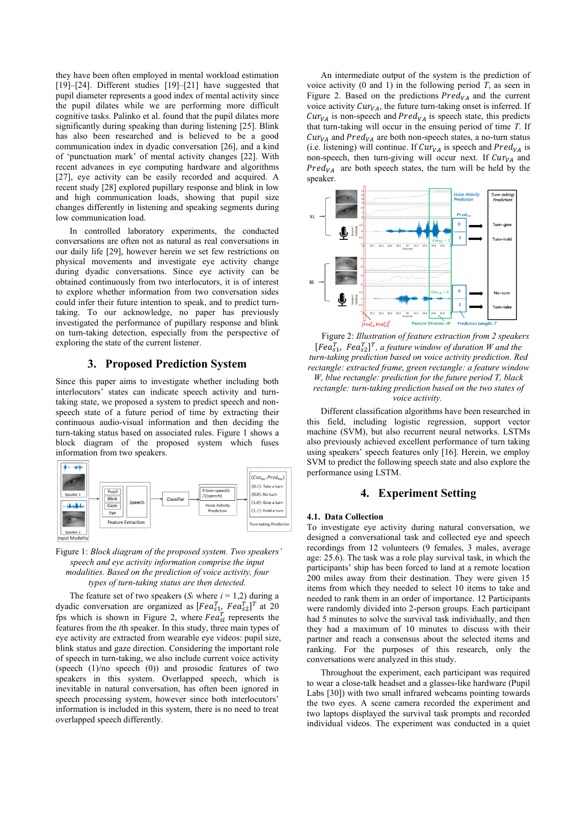they have been often employed in mental workload estimation [19]–[24]. Different studies [19]–[21] have suggested that pupil diameter represents a good index of mental activity since the pupil dilates while we are performing more difficult cognitive tasks. Palinko et al. found that the pupil dilates more significantly during speaking than during listening [25]. Blink has also been researched and is believed to be a good communication index in dyadic conversation [26], and a kind of 'punctuation mark' of mental activity changes [22]. With recent advances in eye computing hardware and algorithms [27], eye activity can be easily recorded and acquired. A recent study [28] explored pupillary response and blink in low and high communication loads, showing that pupil size changes differently in listening and speaking segments during low communication load.

In controlled laboratory experiments, the conducted conversations are often not as natural as real conversations in our daily life [29], however herein we set few restrictions on physical movements and investigate eye activity change during dyadic conversations. Since eye activity can be obtained continuously from two interlocutors, it is of interest to explore whether information from two conversation sides could infer their future intention to speak, and to predict turntaking. To our acknowledge, no paper has previously investigated the performance of pupillary response and blink on turn-taking detection, especially from the perspective of exploring the state of the current listener.

## **3. Proposed Prediction System**

Since this paper aims to investigate whether including both interlocutors' states can indicate speech activity and turntaking state, we proposed a system to predict speech and nonspeech state of a future period of time by extracting their continuous audio-visual information and then deciding the turn-taking status based on associated rules. Figure 1 shows a block diagram of the proposed system which fuses information from two speakers.



#### Figure 1: *Block diagram of the proposed system. Two speakers' speech and eye activity information comprise the input modalities. Based on the prediction of voice activity, four types of turn-taking status are then detected.*

The feature set of two speakers ( $S_i$  where  $i = 1,2$ ) during a dyadic conversation are organized as  $[Fea<sub>s1</sub><sup>T</sup>$   $Fea<sub>s2</sub><sup>T</sup>$  at 20 fps which is shown in Figure 2, where  $Fea_{si}^{T}$  represents the features from the *i*th speaker. In this study, three main types of eye activity are extracted from wearable eye videos: pupil size, blink status and gaze direction. Considering the important role of speech in turn-taking, we also include current voice activity (speech (1)/no speech (0)) and prosodic features of two speakers in this system. Overlapped speech, which is inevitable in natural conversation, has often been ignored in speech processing system, however since both interlocutors' information is included in this system, there is no need to treat overlapped speech differently.

An intermediate output of the system is the prediction of voice activity  $(0 \text{ and } 1)$  in the following period  $T$ , as seen in Figure 2. Based on the predictions  $Pred_{VA}$  and the current voice activity  $Cur<sub>VA</sub>$ , the future turn-taking onset is inferred. If  $Cur<sub>VA</sub>$  is non-speech and  $Pred<sub>VA</sub>$  is speech state, this predicts that turn-taking will occur in the ensuing period of time *T*. If  $Cur<sub>VA</sub>$  and  $Pred<sub>VA</sub>$  are both non-speech states, a no-turn status (i.e. listening) will continue. If  $Cur<sub>VA</sub>$  is speech and  $Pred<sub>VA</sub>$  is non-speech, then turn-giving will occur next. If  $Cur<sub>VA</sub>$  and  $Pred_{VA}$  are both speech states, the turn will be held by the speaker.



Figure 2: *Illustration of feature extraction from 2 speakers*  $[Fea<sub>s1</sub><sup>T</sup>, Fea<sub>s2</sub><sup>T</sup>]<sup>T</sup>$ , a feature window of duration *W* and the *turn-taking prediction based on voice activity prediction. Red rectangle: extracted frame, green rectangle: a feature window W, blue rectangle: prediction for the future period T, black rectangle: turn-taking prediction based on the two states of voice activity.*

Different classification algorithms have been researched in this field, including logistic regression, support vector machine (SVM), but also recurrent neural networks. LSTMs also previously achieved excellent performance of turn taking using speakers' speech features only [16]. Herein, we employ SVM to predict the following speech state and also explore the performance using LSTM.

## **4. Experiment Setting**

#### **4.1. Data Collection**

To investigate eye activity during natural conversation, we designed a conversational task and collected eye and speech recordings from 12 volunteers (9 females, 3 males, average age: 25.6). The task was a role play survival task, in which the participants' ship has been forced to land at a remote location 200 miles away from their destination. They were given 15 items from which they needed to select 10 items to take and needed to rank them in an order of importance. 12 Participants were randomly divided into 2-person groups. Each participant had 5 minutes to solve the survival task individually, and then they had a maximum of 10 minutes to discuss with their partner and reach a consensus about the selected items and ranking. For the purposes of this research, only the conversations were analyzed in this study.

Throughout the experiment, each participant was required to wear a close-talk headset and a glasses-like hardware (Pupil Labs [30]) with two small infrared webcams pointing towards the two eyes. A scene camera recorded the experiment and two laptops displayed the survival task prompts and recorded individual videos. The experiment was conducted in a quiet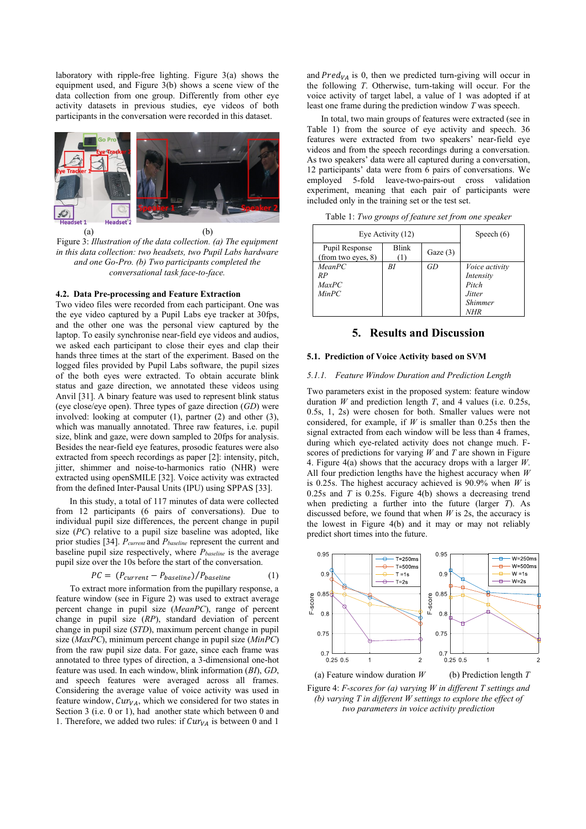laboratory with ripple-free lighting. Figure 3(a) shows the equipment used, and Figure 3(b) shows a scene view of the data collection from one group. Differently from other eye activity datasets in previous studies, eye videos of both participants in the conversation were recorded in this dataset.



Figure 3: *Illustration of the data collection. (a) The equipment in this data collection: two headsets, two Pupil Labs hardware and one Go-Pro. (b) Two participants completed the conversational task face-to-face.*

## **4.2. Data Pre-processing and Feature Extraction**

Two video files were recorded from each participant. One was the eye video captured by a Pupil Labs eye tracker at 30fps, and the other one was the personal view captured by the laptop. To easily synchronise near-field eye videos and audios, we asked each participant to close their eyes and clap their hands three times at the start of the experiment. Based on the logged files provided by Pupil Labs software, the pupil sizes of the both eyes were extracted. To obtain accurate blink status and gaze direction, we annotated these videos using Anvil [31]. A binary feature was used to represent blink status (eye close/eye open). Three types of gaze direction (*GD*) were involved: looking at computer (1), partner (2) and other (3), which was manually annotated. Three raw features, i.e. pupil size, blink and gaze, were down sampled to 20fps for analysis. Besides the near-field eye features, prosodic features were also extracted from speech recordings as paper [2]: intensity, pitch, jitter, shimmer and noise-to-harmonics ratio (NHR) were extracted using openSMILE [32]. Voice activity was extracted from the defined Inter-Pausal Units (IPU) using SPPAS [33].

In this study, a total of 117 minutes of data were collected from 12 participants (6 pairs of conversations). Due to individual pupil size differences, the percent change in pupil size (*PC*) relative to a pupil size baseline was adopted, like prior studies [34]. *Pcurrent* and *Pbaseline* represent the current and baseline pupil size respectively, where *Pbaseline* is the average pupil size over the 10s before the start of the conversation.

$$
PC = (P_{current} - P_{baseline})/P_{baseline}
$$
 (1)

To extract more information from the pupillary response, a feature window (see in Figure 2) was used to extract average percent change in pupil size (*MeanPC*), range of percent change in pupil size (*RP*), standard deviation of percent change in pupil size (*STD*), maximum percent change in pupil size (*MaxPC*), minimum percent change in pupil size (*MinPC*) from the raw pupil size data. For gaze, since each frame was annotated to three types of direction, a 3-dimensional one-hot feature was used. In each window, blink information (*BI*), *GD*, and speech features were averaged across all frames. Considering the average value of voice activity was used in feature window,  $Cur<sub>VA</sub>$ , which we considered for two states in Section 3 (i.e. 0 or 1), had another state which between 0 and 1. Therefore, we added two rules: if  $Cur<sub>VA</sub>$  is between 0 and 1

and  $Pred_{VA}$  is 0, then we predicted turn-giving will occur in the following *T*. Otherwise, turn-taking will occur. For the voice activity of target label, a value of 1 was adopted if at least one frame during the prediction window *T* was speech.

In total, two main groups of features were extracted (see in Table 1) from the source of eye activity and speech. 36 features were extracted from two speakers' near-field eye videos and from the speech recordings during a conversation. As two speakers' data were all captured during a conversation, 12 participants' data were from 6 pairs of conversations. We employed 5-fold leave-two-pairs-out cross validation experiment, meaning that each pair of participants were included only in the training set or the test set.

Table 1: *Two groups of feature set from one speaker*

| Eye Activity (12)                    | Speech $(6)$ |            |                                                                                              |
|--------------------------------------|--------------|------------|----------------------------------------------------------------------------------------------|
| Pupil Response<br>(from two eyes, 8) | <b>Blink</b> | Gaze $(3)$ |                                                                                              |
| MeanPC<br>RP<br>MaxPC<br>MinPC       | ΒI           | GD         | <i>Voice activity</i><br>Intensity<br>Pitch<br><i>Jitter</i><br><b>Shimmer</b><br><b>NHR</b> |

## **5. Results and Discussion**

#### **5.1. Prediction of Voice Activity based on SVM**

## *5.1.1. Feature Window Duration and Prediction Length*

Two parameters exist in the proposed system: feature window duration *W* and prediction length *T*, and 4 values (i.e. 0.25s, 0.5s, 1, 2s) were chosen for both. Smaller values were not considered, for example, if *W* is smaller than 0.25s then the signal extracted from each window will be less than 4 frames, during which eye-related activity does not change much. Fscores of predictions for varying *W* and *T* are shown in Figure 4. Figure 4(a) shows that the accuracy drops with a larger *W*. All four prediction lengths have the highest accuracy when *W* is 0.25s. The highest accuracy achieved is 90.9% when *W* is 0.25s and *T* is 0.25s. Figure 4(b) shows a decreasing trend when predicting a further into the future (larger *T*). As discussed before, we found that when *W* is 2s, the accuracy is the lowest in Figure 4(b) and it may or may not reliably predict short times into the future.



 (a) Feature window duration *W* (b) Prediction length *T* Figure 4: *F-scores for (a) varying W in different T settings and (b) varying T in different W settings to explore the effect of two parameters in voice activity prediction*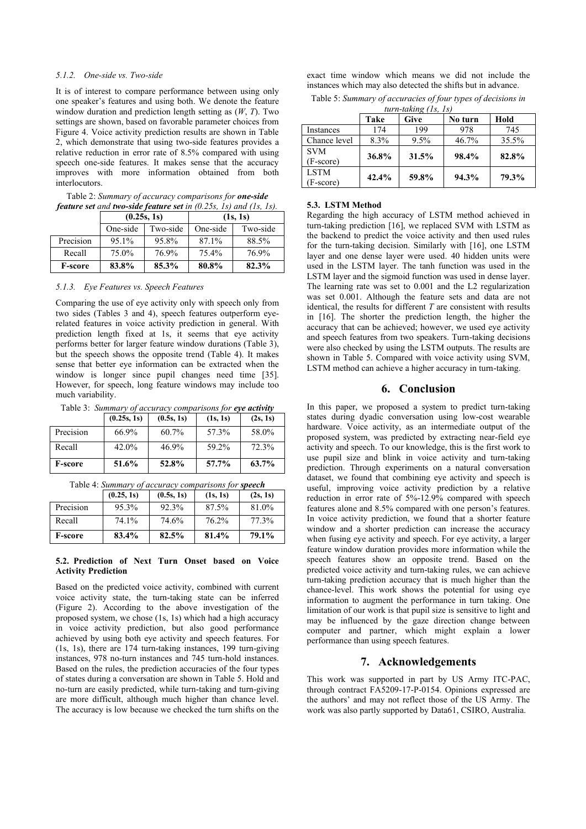#### *5.1.2. One-side vs. Two-side*

It is of interest to compare performance between using only one speaker's features and using both. We denote the feature window duration and prediction length setting as (*W*, *T*). Two settings are shown, based on favorable parameter choices from Figure 4. Voice activity prediction results are shown in Table 2, which demonstrate that using two-side features provides a relative reduction in error rate of 8.5% compared with using speech one-side features. It makes sense that the accuracy improves with more information obtained from both interlocutors.

Table 2: *Summary of accuracy comparisons for one-side feature set and two-side feature set in (0.25s, 1s) and (1s, 1s).*

|                | (0.25s, 1s) |          | (1s, 1s) |          |
|----------------|-------------|----------|----------|----------|
|                | One-side    | Two-side | One-side | Two-side |
| Precision      | 95.1%       | 95.8%    | 87.1%    | 88.5%    |
| Recall         | 75.0%       | 76.9%    | 75.4%    | 76.9%    |
| <b>F-score</b> | 83.8%       | 85.3%    | 80.8%    | 82.3%    |

*5.1.3. Eye Features vs. Speech Features*

Comparing the use of eye activity only with speech only from two sides (Tables 3 and 4), speech features outperform eyerelated features in voice activity prediction in general. With prediction length fixed at 1s, it seems that eye activity performs better for larger feature window durations (Table 3), but the speech shows the opposite trend (Table 4). It makes sense that better eye information can be extracted when the window is longer since pupil changes need time [35]. However, for speech, long feature windows may include too much variability.

Table 3: *Summary of accuracy comparisons for eye activity*

|                | (0.25s, 1s) | (0.5s, 1s) | (1s, 1s) | (2s, 1s) |
|----------------|-------------|------------|----------|----------|
| Precision      | 66.9%       | 60.7%      | 57.3%    | 58.0%    |
| Recall         | 42.0%       | 46.9%      | 59.2%    | 72.3%    |
| <b>F-score</b> | 51.6%       | 52.8%      | 57.7%    | 63.7%    |

Table 4: *Summary of accuracy comparisons for speech*

|                | (0.25, 1s) | (0.5s, 1s) | (1s, 1s) | (2s, 1s) |
|----------------|------------|------------|----------|----------|
| Precision      | 95.3%      | 92.3%      | 87.5%    | 81.0%    |
| Recall         | 74.1%      | 74.6%      | 76.2%    | 77.3%    |
| <b>F-score</b> | 83.4%      | 82.5%      | 81.4%    | 79.1%    |

#### **5.2. Prediction of Next Turn Onset based on Voice Activity Prediction**

Based on the predicted voice activity, combined with current voice activity state, the turn-taking state can be inferred (Figure 2). According to the above investigation of the proposed system, we chose (1s, 1s) which had a high accuracy in voice activity prediction, but also good performance achieved by using both eye activity and speech features. For (1s, 1s), there are 174 turn-taking instances, 199 turn-giving instances, 978 no-turn instances and 745 turn-hold instances. Based on the rules, the prediction accuracies of the four types of states during a conversation are shown in Table 5. Hold and no-turn are easily predicted, while turn-taking and turn-giving are more difficult, although much higher than chance level. The accuracy is low because we checked the turn shifts on the

exact time window which means we did not include the instances which may also detected the shifts but in advance.

| Table 5: Summary of accuracies of four types of decisions in |
|--------------------------------------------------------------|
| $turn\_taking (ls, ls)$                                      |

|                  | Take  | <b>Give</b> | No turn | Hold  |
|------------------|-------|-------------|---------|-------|
| <b>Instances</b> | 174   | 199         | 978     | 745   |
| Chance level     | 8.3%  | 9.5%        | 46.7%   | 35.5% |
| <b>SVM</b>       | 36.8% | 31.5%       | 98.4%   | 82.8% |
| (F-score)        |       |             |         |       |
| <b>LSTM</b>      | 42.4% | 59.8%       | 94.3%   | 79.3% |
| (F-score)        |       |             |         |       |
|                  |       |             |         |       |

#### **5.3. LSTM Method**

Regarding the high accuracy of LSTM method achieved in turn-taking prediction [16], we replaced SVM with LSTM as the backend to predict the voice activity and then used rules for the turn-taking decision. Similarly with [16], one LSTM layer and one dense layer were used. 40 hidden units were used in the LSTM layer. The tanh function was used in the LSTM layer and the sigmoid function was used in dense layer. The learning rate was set to 0.001 and the L2 regularization was set 0.001. Although the feature sets and data are not identical, the results for different *T* are consistent with results in [16]. The shorter the prediction length, the higher the accuracy that can be achieved; however, we used eye activity and speech features from two speakers. Turn-taking decisions were also checked by using the LSTM outputs. The results are shown in Table 5. Compared with voice activity using SVM, LSTM method can achieve a higher accuracy in turn-taking.

#### **6. Conclusion**

In this paper, we proposed a system to predict turn-taking states during dyadic conversation using low-cost wearable hardware. Voice activity, as an intermediate output of the proposed system, was predicted by extracting near-field eye activity and speech. To our knowledge, this is the first work to use pupil size and blink in voice activity and turn-taking prediction. Through experiments on a natural conversation dataset, we found that combining eye activity and speech is useful, improving voice activity prediction by a relative reduction in error rate of 5%-12.9% compared with speech features alone and 8.5% compared with one person's features. In voice activity prediction, we found that a shorter feature window and a shorter prediction can increase the accuracy when fusing eye activity and speech. For eye activity, a larger feature window duration provides more information while the speech features show an opposite trend. Based on the predicted voice activity and turn-taking rules, we can achieve turn-taking prediction accuracy that is much higher than the chance-level. This work shows the potential for using eye information to augment the performance in turn taking. One limitation of our work is that pupil size is sensitive to light and may be influenced by the gaze direction change between computer and partner, which might explain a lower performance than using speech features.

## **7. Acknowledgements**

This work was supported in part by US Army ITC-PAC, through contract FA5209-17-P-0154. Opinions expressed are the authors' and may not reflect those of the US Army. The work was also partly supported by Data61, CSIRO, Australia.